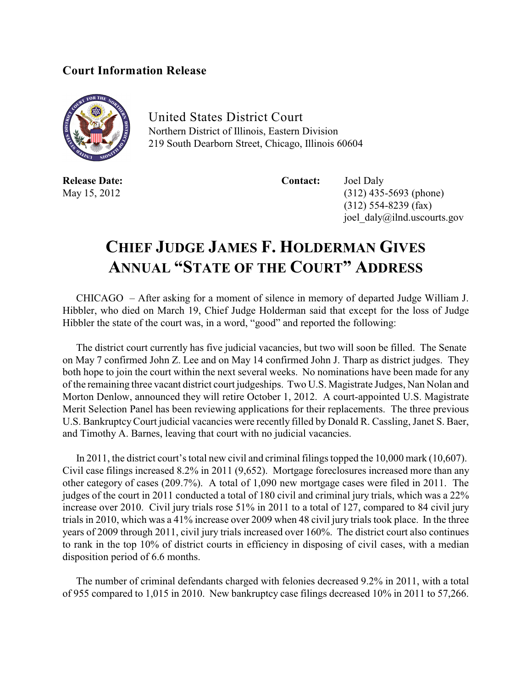## **Court Information Release**



United States District Court Northern District of Illinois, Eastern Division 219 South Dearborn Street, Chicago, Illinois 60604

**Release Date: Contact:** Joel Daly

May 15, 2012 (312) 435-5693 (phone) (312) 554-8239 (fax) joel\_daly@ilnd.uscourts.gov

## **CHIEF JUDGE JAMES F. HOLDERMAN GIVES ANNUAL "STATE OF THE COURT" ADDRESS**

CHICAGO – After asking for a moment of silence in memory of departed Judge William J. Hibbler, who died on March 19, Chief Judge Holderman said that except for the loss of Judge Hibbler the state of the court was, in a word, "good" and reported the following:

The district court currently has five judicial vacancies, but two will soon be filled. The Senate on May 7 confirmed John Z. Lee and on May 14 confirmed John J. Tharp as district judges. They both hope to join the court within the next several weeks. No nominations have been made for any of the remaining three vacant district court judgeships. Two U.S. Magistrate Judges, Nan Nolan and Morton Denlow, announced they will retire October 1, 2012. A court-appointed U.S. Magistrate Merit Selection Panel has been reviewing applications for their replacements. The three previous U.S. BankruptcyCourt judicial vacancies were recently filled by Donald R. Cassling, Janet S. Baer, and Timothy A. Barnes, leaving that court with no judicial vacancies.

In 2011, the district court's total new civil and criminal filings topped the 10,000 mark (10,607). Civil case filings increased 8.2% in 2011 (9,652). Mortgage foreclosures increased more than any other category of cases (209.7%). A total of 1,090 new mortgage cases were filed in 2011. The judges of the court in 2011 conducted a total of 180 civil and criminal jury trials, which was a 22% increase over 2010. Civil jury trials rose 51% in 2011 to a total of 127, compared to 84 civil jury trials in 2010, which was a 41% increase over 2009 when 48 civil jury trials took place. In the three years of 2009 through 2011, civil jury trials increased over 160%. The district court also continues to rank in the top 10% of district courts in efficiency in disposing of civil cases, with a median disposition period of 6.6 months.

The number of criminal defendants charged with felonies decreased 9.2% in 2011, with a total of 955 compared to 1,015 in 2010. New bankruptcy case filings decreased 10% in 2011 to 57,266.